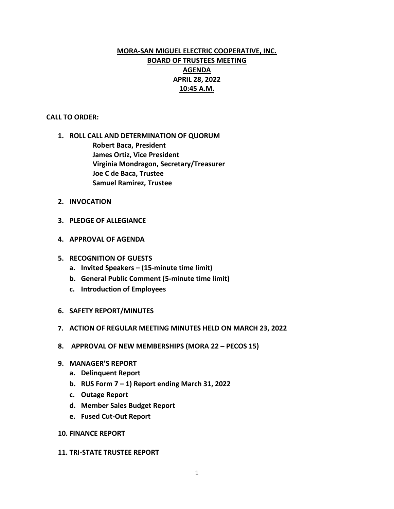# **MORA-SAN MIGUEL ELECTRIC COOPERATIVE, INC. BOARD OF TRUSTEES MEETING AGENDA APRIL 28, 2022 10:45 A.M.**

#### **CALL TO ORDER:**

- **1. ROLL CALL AND DETERMINATION OF QUORUM Robert Baca, President James Ortiz, Vice President Virginia Mondragon, Secretary/Treasurer Joe C de Baca, Trustee Samuel Ramirez, Trustee**
- **2. INVOCATION**
- **3. PLEDGE OF ALLEGIANCE**
- **4. APPROVAL OF AGENDA**
- **5. RECOGNITION OF GUESTS**
	- **a. Invited Speakers – (15-minute time limit)**
	- **b. General Public Comment (5-minute time limit)**
	- **c. Introduction of Employees**
- **6. SAFETY REPORT/MINUTES**
- **7. ACTION OF REGULAR MEETING MINUTES HELD ON MARCH 23, 2022**
- **8. APPROVAL OF NEW MEMBERSHIPS (MORA 22 – PECOS 15)**
- **9. MANAGER'S REPORT**
	- **a. Delinquent Report**
	- **b. RUS Form 7 – 1) Report ending March 31, 2022**
	- **c. Outage Report**
	- **d. Member Sales Budget Report**
	- **e. Fused Cut-Out Report**
- **10. FINANCE REPORT**

#### **11. TRI-STATE TRUSTEE REPORT**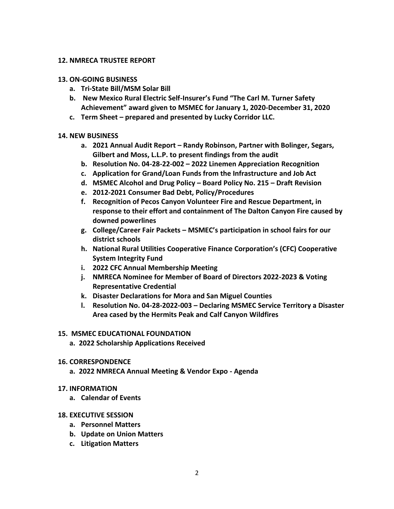#### **12. NMRECA TRUSTEE REPORT**

#### **13. ON-GOING BUSINESS**

- **a. Tri-State Bill/MSM Solar Bill**
- **b. New Mexico Rural Electric Self-Insurer's Fund "The Carl M. Turner Safety Achievement" award given to MSMEC for January 1, 2020-December 31, 2020**
- **c. Term Sheet – prepared and presented by Lucky Corridor LLC.**

### **14. NEW BUSINESS**

- **a. 2021 Annual Audit Report – Randy Robinson, Partner with Bolinger, Segars, Gilbert and Moss, L.L.P. to present findings from the audit**
- **b. Resolution No. 04-28-22-002 – 2022 Linemen Appreciation Recognition**
- **c. Application for Grand/Loan Funds from the Infrastructure and Job Act**
- **d. MSMEC Alcohol and Drug Policy – Board Policy No. 215 – Draft Revision**
- **e. 2012-2021 Consumer Bad Debt, Policy/Procedures**
- **f. Recognition of Pecos Canyon Volunteer Fire and Rescue Department, in response to their effort and containment of The Dalton Canyon Fire caused by downed powerlines**
- **g. College/Career Fair Packets – MSMEC's participation in school fairs for our district schools**
- **h. National Rural Utilities Cooperative Finance Corporation's (CFC) Cooperative System Integrity Fund**
- **i. 2022 CFC Annual Membership Meeting**
- **j. NMRECA Nominee for Member of Board of Directors 2022-2023 & Voting Representative Credential**
- **k. Disaster Declarations for Mora and San Miguel Counties**
- **l. Resolution No. 04-28-2022-003 – Declaring MSMEC Service Territory a Disaster Area cased by the Hermits Peak and Calf Canyon Wildfires**

### **15. MSMEC EDUCATIONAL FOUNDATION**

**a. 2022 Scholarship Applications Received** 

### **16. CORRESPONDENCE**

**a. 2022 NMRECA Annual Meeting & Vendor Expo - Agenda**

### **17. INFORMATION**

**a. Calendar of Events**

### **18. EXECUTIVE SESSION**

- **a. Personnel Matters**
- **b. Update on Union Matters**
- **c. Litigation Matters**